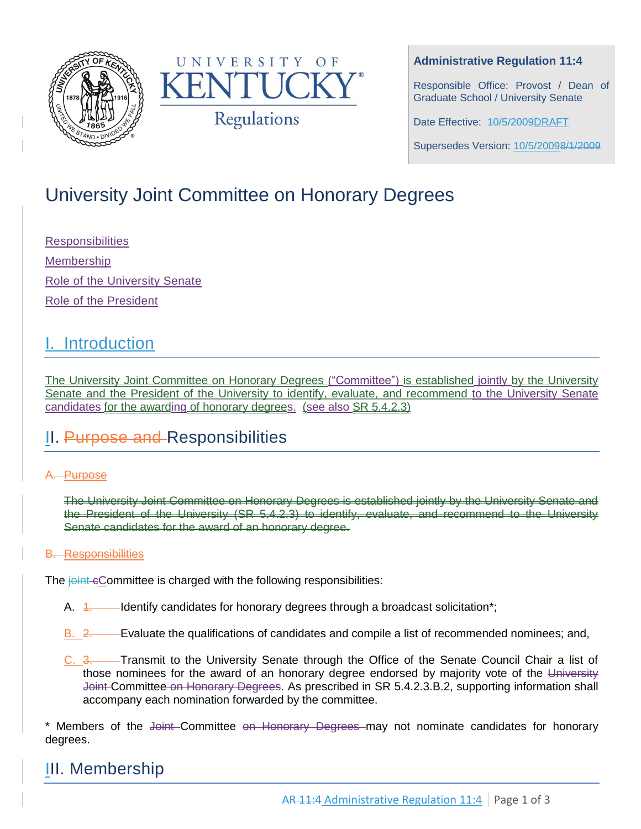



#### **Administrative Regulation 11:4**

Responsible Office: Provost / Dean of Graduate School / University Senate

Date Effective: 40/5/2009DRAFT

Supersedes Version: 10/5/20098/1/2009

# University Joint Committee on Honorary Degrees

**Responsibilities** 

Membership

Role of the University Senate

Role of the President

## I. Introduction

The University Joint Committee on Honorary Degrees ("Committee") is established jointly by the University Senate and the President of the University to identify, evaluate, and recommend to the University Senate candidates for the awarding of honorary degrees. (see also SR 5.4.2.3)

## II. Purpose and Responsibilities

#### A. Purpose

The University Joint Committee on Honorary Degrees is established jointly by the University Senate and the President of the University (SR 5.4.2.3) to identify, evaluate, and recommend to the University Senate candidates for the award of an honorary degree.

#### B. Responsibilities

The joint eCommittee is charged with the following responsibilities:

- A.  $\frac{4}{1}$  Identify candidates for honorary degrees through a broadcast solicitation\*;
- B. 2. Evaluate the qualifications of candidates and compile a list of recommended nominees; and,
- C. 3. Transmit to the University Senate through the Office of the Senate Council Chair a list of those nominees for the award of an honorary degree endorsed by majority vote of the University Joint-Committee on Honorary Degrees. As prescribed in SR 5.4.2.3.B.2, supporting information shall accompany each nomination forwarded by the committee.

\* Members of the Joint-Committee on Honorary Degrees may not nominate candidates for honorary degrees.

## III. Membership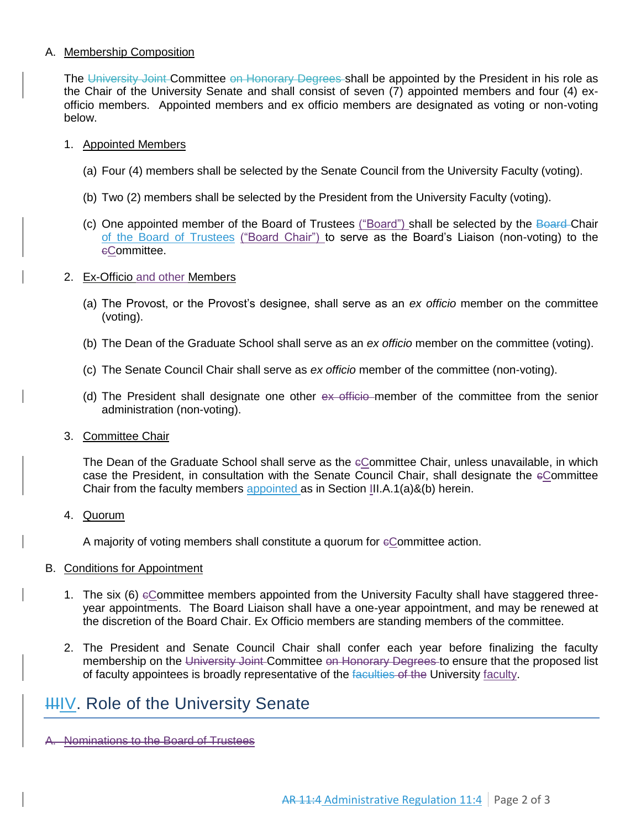#### A. Membership Composition

The University Joint-Committee on Honorary Degrees-shall be appointed by the President in his role as the Chair of the University Senate and shall consist of seven (7) appointed members and four (4) exofficio members. Appointed members and ex officio members are designated as voting or non-voting below.

#### 1. Appointed Members

- (a) Four (4) members shall be selected by the Senate Council from the University Faculty (voting).
- (b) Two (2) members shall be selected by the President from the University Faculty (voting).
- (c) One appointed member of the Board of Trustees ("Board") shall be selected by the Board-Chair of the Board of Trustees ("Board Chair") to serve as the Board's Liaison (non-voting) to the eCommittee.

#### 2. Ex-Officio and other Members

- (a) The Provost, or the Provost's designee, shall serve as an *ex officio* member on the committee (voting).
- (b) The Dean of the Graduate School shall serve as an *ex officio* member on the committee (voting).
- (c) The Senate Council Chair shall serve as *ex officio* member of the committee (non-voting).
- (d) The President shall designate one other ex officio member of the committee from the senior administration (non-voting).
- 3. Committee Chair

The Dean of the Graduate School shall serve as the eCommittee Chair, unless unavailable, in which case the President, in consultation with the Senate Council Chair, shall designate the  $e$ Committee Chair from the faculty members appointed as in Section III.A.1(a)&(b) herein.

4. Quorum

A majority of voting members shall constitute a quorum for cCommittee action.

#### B. Conditions for Appointment

- 1. The six (6)  $e$ Committee members appointed from the University Faculty shall have staggered threeyear appointments. The Board Liaison shall have a one-year appointment, and may be renewed at the discretion of the Board Chair. Ex Officio members are standing members of the committee.
- 2. The President and Senate Council Chair shall confer each year before finalizing the faculty membership on the University Joint Committee on Honorary Degrees to ensure that the proposed list of faculty appointees is broadly representative of the faculties of the University faculty.

## **HIIV.** Role of the University Senate

A. Nominations to the Board of Trustees